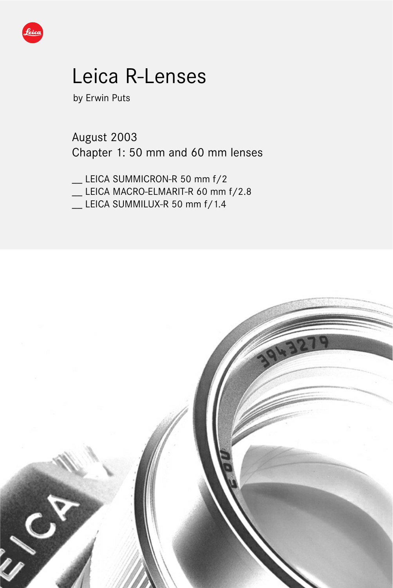

# Leica R-Lenses

by Erwin Puts

August 2003 Chapter 1: 50 mm and 60 mm lenses

\_\_ LEICA SUMMICRON-R 50 mm f/2

- \_\_ LEICA MACRO-ELMARIT-R 60 mm f/2.8
- LEICA SUMMILUX-R 50 mm f/1.4

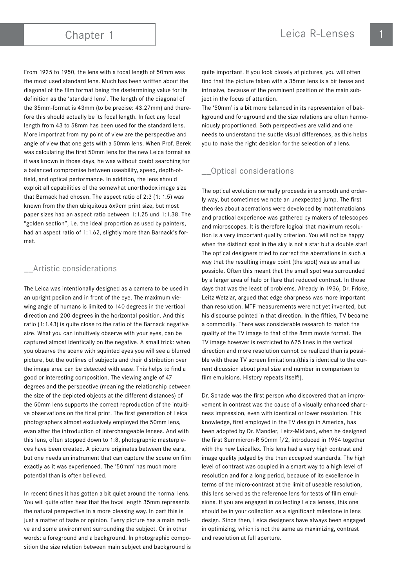From 1925 to 1950, the lens with a focal length of 50mm was the most used standard lens. Much has been written about the diagonal of the film format being the dsetermining value for its definition as the 'standard lens'. The length of the diagonal of the 35mm-format is 43mm (to be precise: 43.27mm) and therefore this should actually be its focal length. In fact any focal length from 43 to 58mm has been used for the standard lens. More importnat from my point of view are the perspective and angle of view that one gets with a 50mm lens. When Prof. Berek was calculating the first 50mm lens for the new Leica format as it was known in those days, he was without doubt searching for a balanced compromise between useability, speed, depth-offield, and optical performance. In addition, the lens should exploit all capabilities of the somewhat unorthodox image size that Barnack had chosen. The aspect ratio of 2:3 (1: 1.5) was known from the then ubiquitous 6x9cm print size, but most paper sizes had an aspect ratio between 1:1.25 und 1:1.38. The "golden section", i.e. the ideal proportion as used by painters, had an aspect ratio of 1:1.62, slightly more than Barnack's format.

### \_\_Artistic considerations

The Leica was intentionally designed as a camera to be used in an upright posiion and in front of the eye. The maximum viewing angle of humans is limited to 140 degrees in the vertical direction and 200 degrees in the horizontal position. And this ratio (1:1.43) is quite close to the ratio of the Barnack negative size. What you can intuitively observe with your eyes, can be captured almost identically on the negative. A small trick: when you observe the scene with squinted eyes you will see a blurred picture, but the outlines of subjects and their distribution over the image area can be detected with ease. This helps to find a good or interesting composition. The viewing angle of 47 degrees and the perspective (meaning the relationship between the size of the depicted objects at the different distances) of the 50mm lens supports the correct reproduction of the intuitive observations on the final print. The first generation of Leica photographers almost exclusively employed the 50mm lens, evan after the introduction of interchangeable lenses. And with this lens, often stopped down to 1:8, photographic masterpieces have been created. A picture originates between the ears, but one needs an instrument that can capture the scene on film exactly as it was experienced. The '50mm' has much more potential than is often believed.

In recent times it has gotten a bit quiet around the normal lens. You will quite often hear that the focal length 35mm represents the natural perspective in a more pleasing way. In part this is just a matter of taste or opinion. Every picture has a main motive and some environment surrounding the subject. Or in other words: a foreground and a background. In photographic composition the size relation between main subject and background is quite important. If you look closely at pictures, you will often find that the picture taken with a 35mm lens is a bit tense and intrusive, because of the prominent position of the main subject in the focus of attention.

The '50mm' is a bit more balanced in its representaion of bakkground and foreground and the size relations are often harmoniously proportioned. Both perspectives are valid and one needs to understand the subtle visual differences, as this helps you to make the right decision for the selection of a lens.

## \_\_Optical considerations

The optical evolution normally proceeds in a smooth and orderly way, but sometimes we note an unexpected jump. The first theories about aberrations were developed by mathematicians and practical experience was gathered by makers of telescopes and microscopes. It is therefore logical that maximum resolution is a very important quality criterion. You will not be happy when the distinct spot in the sky is not a star but a double star! The optical designers tried to correct the aberrations in such a way that the resulting image point (the spot) was as small as possible. Often this meant that the small spot was surrounded by a larger area of halo or flare that reduced contrast. In those days that was the least of problems. Already in 1936, Dr. Fricke, Leitz Wetzlar, argued that edge sharpness was more important than resolution. MTF measurements were not yet invented, but his discourse pointed in that direction. In the fifties, TV became a commodity. There was considerable research to match the quality of the TV image to that of the 8mm movie format. The TV image however is restricted to 625 lines in the vertical direction and more resolution cannot be realized than is possible with these TV screen limitations.(this is identical to the current dicussion about pixel size and number in comparison to film emulsions. History repeats itself!).

Dr. Schade was the first person who discovered that an improvement in contrast was the cause of a visually enhanced sharpness impression, even with identical or lower resolution. This knowledge, first employed in the TV design in America, has been adopted by Dr. Mandler, Leitz-Midland, when he designed the first Summicron-R 50mm f/2, introduced in 1964 together with the new Leicaflex. This lens had a very high contrast and image quality judged by the then accepted standards. The high level of contrast was coupled in a smart way to a high level of resolution and for a long period, because of its excellence in terms of the micro-contrast at the limit of useable resolution, this lens served as the reference lens for tests of film emulsions. If you are engaged in collecting Leica lenses, this one should be in your collection as a significant milestone in lens design. Since then, Leica designers have always been engaged in optimizing, which is not the same as maximizing, contrast and resolution at full aperture.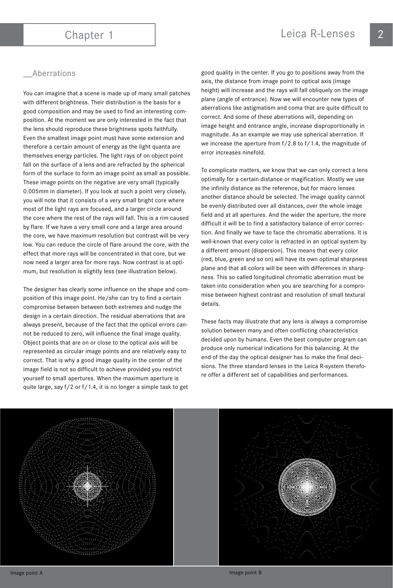### \_\_Aberrations

You can imagine that a scene is made up of many small patches with different brightness. Their distribution is the basis for a good composition and may be used to find an interesting composition. At the moment we are only interested in the fact that the lens should reproduce these brightness spots faithfully. Even the smallest image point must have some extension and therefore a certain amount of energy as the light quanta are themselves energy particles. The light rays of on object point fall on the surface of a lens and are refracted by the spherical form of the surface to form an image point as small as possible. These image points on the negative are very small (typically 0.005mm in diameter). If you look at such a point very closely, you will note that it consists of a very small bright core where most of the light rays are focused, and a larger circle around the core where the rest of the rays will fall. This is a rim caused by flare. If we have a very small core and a large area around the core, we have maximum resolution but contrast will be very low. You can reduce the circle of flare around the core, with the effect that more rays will be concentrated in that core, but we now need a larger area for more rays. Now contrast is at optimum, but resolution is slightly less (see illustration below).

The designer has clearly some influence on the shape and composition of this image point. He/she can try to find a certain compromise between between both extremes and nudge the design in a certain direction. The residual aberrations that are always present, because of the fact that the optical errors cannot be reduced to zero, will influence the final image quality. Object points that are on or close to the optical axis will be represented as circular image points and are relatively easy to correct. That is why a good image quality in the center of the image field is not so difficult to achieve provided you restrict yourself to small apertures. When the maximum aperture is quite large, say f/2 or f/1.4, it is no longer a simple task to get

good quality in the center. If you go to positions away from the axis, the distance from image point to optical axis (image height) will increase and the rays will fall obliquely on the image plane (angle of entrance). Now we will encounter new types of aberrations like astigmatism and coma that are quite difficult to correct. And some of these aberrations will, depending on image height and entrance angle, increase disproportionally in magnitude. As an example we may use spherical aberration. If we increase the aperture from f/2.8 to f/1.4, the magnitude of error increases ninefold.

To complicate matters, we know that we can only correct a lens optimally for a certain distance or magification. Mostly we use the infinity distance as the reference, but for macro lenses another distance should be selected. The image quality cannot be evenly distributed over all distances, over the whole image field and at all apertures. And the wider the aperture, the more difficult it will be to find a satisfactory balance of error correction. And finally we have to face the chromatic aberrations. It is well-known that every color is refracted in an optical system by a different amount (dispersion). This means that every color (red, blue, green and so on) will have its own optimal sharpness plane and that all colors will be seen with differences in sharpness. This so called longitudinal chromatic aberration must be taken into consideration when you are searching for a compromise between highest contrast and resolution of small textural details.

These facts may illustrate that any lens is always a compromise solution between many and often conflicting characteristics decided upon by humans. Even the best computer program can produce only numerical indications for this balancing. At the end of the day the optical designer has to make the final decisions. The three standard lenses in the Leica R-system therefore offer a different set of capabilities and performances.

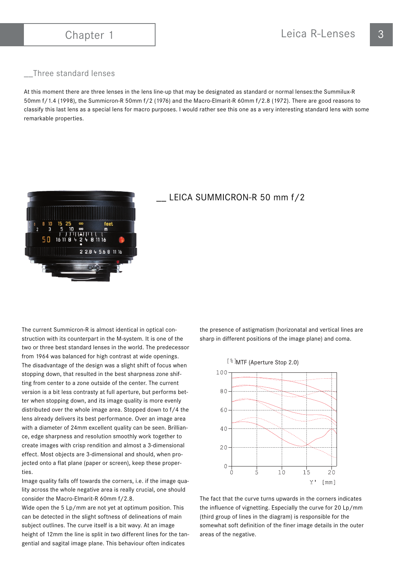### \_\_Three standard lenses

At this moment there are three lenses in the lens line-up that may be designated as standard or normal lenses:the Summilux-R 50mm f/1.4 (1998), the Summicron-R 50mm f/2 (1976) and the Macro-Elmarit-R 60mm f/2.8 (1972). There are good reasons to classify this last lens as a special lens for macro purposes. I would rather see this one as a very interesting standard lens with some remarkable properties.



### \_\_ LEICA SUMMICRON-R 50 mm f/2

The current Summicron-R is almost identical in optical construction with its counterpart in the M-system. It is one of the two or three best standard lenses in the world. The predecessor from 1964 was balanced for high contrast at wide openings. The disadvantage of the design was a slight shift of focus when stopping down, that resulted in the best sharpness zone shifting from center to a zone outside of the center. The current version is a bit less contrasty at full aperture, but performs better when stopping down, and its image quality is more evenly distributed over the whole image area. Stopped down to f/4 the lens already delivers its best performance. Over an image area with a diameter of 24mm excellent quality can be seen. Brilliance, edge sharpness and resolution smoothly work together to create images with crisp rendition and almost a 3-dimensional effect. Most objects are 3-dimensional and should, when projected onto a flat plane (paper or screen), keep these properties.

Image quality falls off towards the corners, i.e. if the image quality across the whole negative area is really crucial, one should consider the Macro-Elmarit-R 60mm f/2.8.

Wide open the 5 Lp/mm are not yet at optimum position. This can be detected in the slight softness of delineations of main subject outlines. The curve itself is a bit wavy. At an image height of 12mm the line is split in two different lines for the tangential and sagital image plane. This behaviour often indicates

the presence of astigmatism (horizonatal and vertical lines are sharp in different positions of the image plane) and coma.



The fact that the curve turns upwards in the corners indicates the influence of vignetting. Especially the curve for 20 Lp/mm (third group of lines in the diagram) is responsible for the somewhat soft definition of the finer image details in the outer areas of the negative.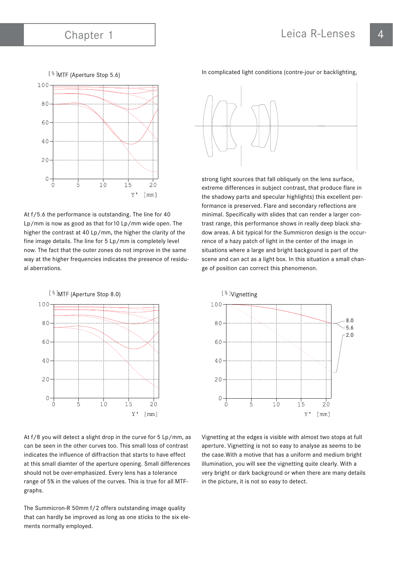

At f/5.6 the performance is outstanding. The line for 40 Lp/mm is now as good as that for10 Lp/mm wide open. The higher the contrast at 40 Lp/mm, the higher the clarity of the fine image details. The line for 5 Lp/mm is completely level now. The fact that the outer zones do not improve in the same way at the higher frequencies indicates the presence of residual aberrations.



At f/8 you will detect a slight drop in the curve for 5 Lp/mm, as can be seen in the other curves too. This small loss of contrast indicates the influence of diffraction that starts to have effect at this small diamter of the aperture opening. Small differences should not be over-emphasized. Every lens has a tolerance range of 5% in the values of the curves. This is true for all MTFgraphs.

The Summicron-R 50mm f/2 offers outstanding image quality that can hardly be improved as long as one sticks to the six elements normally employed.

In complicated light conditions (contre-jour or backlighting,



strong light sources that fall obliquely on the lens surface, extreme differences in subject contrast, that produce flare in the shadowy parts and specular highlights) this excellent performance is preserved. Flare and secondary reflections are minimal. Specifically with slides that can render a larger contrast range, this performance shows in really deep black shadow areas. A bit typical for the Summicron design is the occurrence of a hazy patch of light in the center of the image in situations where a large and bright backgound is part of the scene and can act as a light box. In this situation a small change of position can correct this phenomenon.



Vignetting at the edges is visible with almost two stops at full aperture. Vignetting is not so easy to analyse as seems to be the case.With a motive that has a uniform and medium bright illumination, you will see the vignetting quite clearly. With a very bright or dark background or when there are many details in the picture, it is not so easy to detect.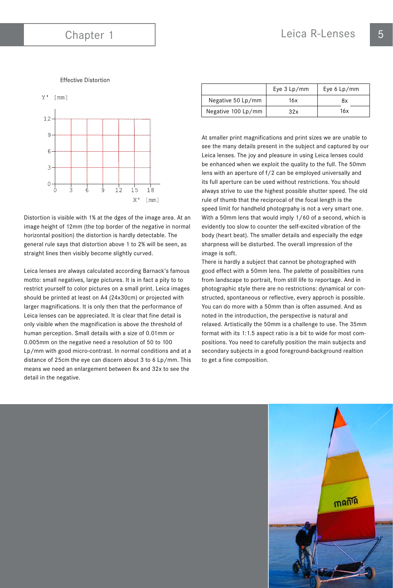### **Effective Distortion**



Distortion is visible with 1% at the dges of the image area. At an image height of 12mm (the top border of the negative in normal horizontal position) the distortion is hardly detectable. The general rule says that distortion above 1 to 2% will be seen, as straight lines then visibly become slightly curved.

Leica lenses are always calculated according Barnack's famous motto: small negatives, large pictures. It is in fact a pity to to restrict yourself to color pictures on a small print. Leica images should be printed at least on A4 (24x30cm) or projected with larger magnifications. It is only then that the performance of Leica lenses can be appreciated. It is clear that fine detail is only visible when the magnification is above the threshold of human perception. Small details with a size of 0.01mm or 0.005mm on the negative need a resolution of 50 to 100 Lp/mm with good micro-contrast. In normal conditions and at a distance of 25cm the eye can discern about 3 to 6 Lp/mm. This means we need an enlargement between 8x and 32x to see the detail in the negative.

|                    | Eye $3$ Lp/mm | Eye $6 \text{ Lp/mm}$ |
|--------------------|---------------|-----------------------|
| Negative 50 Lp/mm  | 16x           | 8x                    |
| Negative 100 Lp/mm | 32x           | 16x                   |

At smaller print magnifications and print sizes we are unable to see the many details present in the subject and captured by our Leica lenses. The joy and pleasure in using Leica lenses could be enhanced when we exploit the quality to the full. The 50mm lens with an aperture of f/2 can be employed universally and its full aperture can be used without restrictions. You should always strive to use the highest possible shutter speed. The old rule of thumb that the reciprocal of the focal length is the speed limit for handheld photogrpahy is not a very smart one. With a 50mm lens that would imply 1/60 of a second, which is evidently too slow to counter the self-excited vibration of the body (heart beat). The smaller details and especially the edge sharpness will be disturbed. The overall impression of the image is soft.

There is hardly a subject that cannot be photographed with good effect with a 50mm lens. The palette of possibilties runs from landscape to portrait, from still life to reportage. And in photographic style there are no restrictions: dynamical or constructed, spontaneous or reflective, every approch is possible. You can do more with a 50mm than is often assumed. And as noted in the introduction, the perspective is natural and relaxed. Artistically the 50mm is a challenge to use. The 35mm format with its 1:1.5 aspect ratio is a bit to wide for most compositions. You need to carefully position the main subjects and secondary subjects in a good foreground-background realtion to get a fine composition.

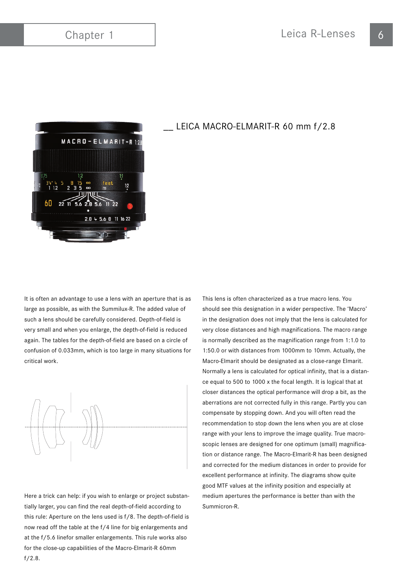

## LEICA MACRO-ELMARIT-R 60 mm f/2.8

It is often an advantage to use a lens with an aperture that is as large as possible, as with the Summilux-R. The added value of such a lens should be carefully considered. Depth-of-field is very small and when you enlarge, the depth-of-field is reduced again. The tables for the depth-of-field are based on a circle of confusion of 0.033mm, which is too large in many situations for critical work.



Here a trick can help: if you wish to enlarge or project substantially larger, you can find the real depth-of-field according to this rule: Aperture on the lens used is f/8. The depth-of-field is now read off the table at the f/4 line for big enlargements and at the f/5.6 linefor smaller enlargements. This rule works also for the close-up capabilities of the Macro-Elmarit-R 60mm f/2.8.

This lens is often characterized as a true macro lens. You should see this designation in a wider perspective. The 'Macro' in the designation does not imply that the lens is calculated for very close distances and high magnifications. The macro range is normally described as the magnification range from 1:1.0 to 1:50.0 or with distances from 1000mm to 10mm. Actually, the Macro-Elmarit should be designated as a close-range Elmarit. Normally a lens is calculated for optical infinity, that is a distance equal to 500 to 1000 x the focal length. It is logical that at closer distances the optical performance will drop a bit, as the aberrations are not corrected fully in this range. Partly you can compensate by stopping down. And you will often read the recommendation to stop down the lens when you are at close range with your lens to improve the image quality. True macroscopic lenses are designed for one optimum (small) magnification or distance range. The Macro-Elmarit-R has been designed and corrected for the medium distances in order to provide for excellent performance at infinity. The diagrams show quite good MTF values at the infinity position and especially at medium apertures the performance is better than with the Summicron-R.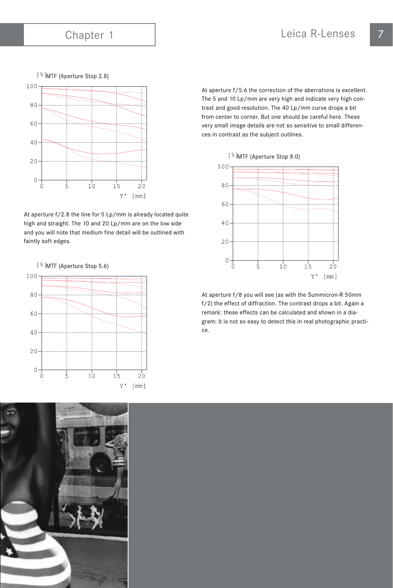[ % ] MTF (Aperture Stop 2.8)



At aperture f/2.8 the line for 5 Lp/mm is already located quite high and straight. The 10 and 20 Lp/mm are on the low side and you will note that medium fine detail will be outlined with faintly soft edges.





At aperture f/5.6 the correction of the aberrations is excellent. The 5 and 10 Lp/mm are very high and indicate very high contrast and good resolution. The 40 Lp/mm curve drops a bit from center to corner. But one should be careful here. These very small image details are not so sensitive to small differences in contrast as the subject outlines.

[%]MTF (Aperture Stop 8.0)



At aperture f/8 you will see (as with the Summicron-R 50mm f/2) the effect of diffraction. The contrast drops a bit. Again a remark: these effects can be calculated and shown in a diagram: it is not so easy to detect this in real photographic practice.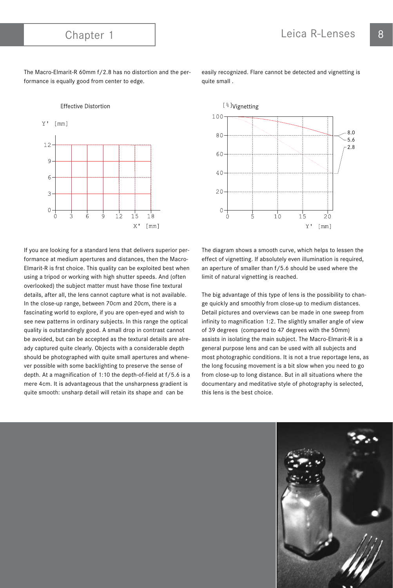**Effective Distortion** 

The Macro-Elmarit-R 60mm f/2.8 has no distortion and the performance is equally good from center to edge.



If you are looking for a standard lens that delivers superior performance at medium apertures and distances, then the Macro-Elmarit-R is frst choice. This quality can be exploited best when using a tripod or working with high shutter speeds. And (often overlooked) the subject matter must have those fine textural details, after all, the lens cannot capture what is not available. In the close-up range, between 70cm and 20cm, there is a fascinating world to explore, if you are open-eyed and wish to see new patterns in ordinary subjects. In this range the optical quality is outstandingly good. A small drop in contrast cannot be avoided, but can be accepted as the textural details are already captured quite clearly. Objects with a considerable depth should be photographed with quite small apertures and whenever possible with some backlighting to preserve the sense of depth. At a magnification of 1:10 the depth-of-field at f/5.6 is a mere 4cm. It is advantageous that the unsharpness gradient is quite smooth: unsharp detail will retain its shape and can be

easily recognized. Flare cannot be detected and vignetting is quite small .



The diagram shows a smooth curve, which helps to lessen the effect of vignetting. If absolutely even illumination is required, an aperture of smaller than f/5.6 should be used where the limit of natural vignetting is reached.

The big advantage of this type of lens is the possibility to change quickly and smoothly from close-up to medium distances. Detail pictures and overviews can be made in one sweep from infinity to magnification 1:2. The slightly smaller angle of view of 39 degrees (compared to 47 degrees with the 50mm) assists in isolating the main subject. The Macro-Elmarit-R is a general purpose lens and can be used with all subjects and most photographic conditions. It is not a true reportage lens, as the long focusing movement is a bit slow when you need to go from close-up to long distance. But in all situations where the documentary and meditative style of photography is selected, this lens is the best choice.

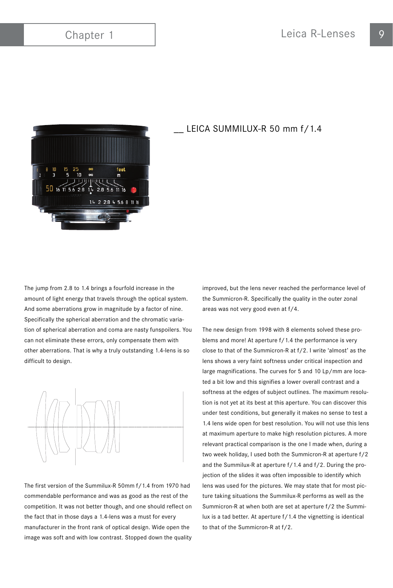

### LEICA SUMMILUX-R 50 mm f/1.4

The jump from 2.8 to 1.4 brings a fourfold increase in the amount of light energy that travels through the optical system. And some aberrations grow in magnitude by a factor of nine. Specifically the spherical aberration and the chromatic variation of spherical aberration and coma are nasty funspoilers. You can not eliminate these errors, only compensate them with other aberrations. That is why a truly outstanding 1.4-lens is so difficult to design.



The first version of the Summilux-R 50mm f/1.4 from 1970 had commendable performance and was as good as the rest of the competition. It was not better though, and one should reflect on the fact that in those days a 1.4-lens was a must for every manufacturer in the front rank of optical design. Wide open the image was soft and with low contrast. Stopped down the quality improved, but the lens never reached the performance level of the Summicron-R. Specifically the quality in the outer zonal areas was not very good even at f/4.

The new design from 1998 with 8 elements solved these problems and more! At aperture f/1.4 the performance is very close to that of the Summicron-R at f/2. I write 'almost' as the lens shows a very faint softness under critical inspection and large magnifications. The curves for 5 and 10 Lp/mm are located a bit low and this signifies a lower overall contrast and a softness at the edges of subject outlines. The maximum resolution is not yet at its best at this aperture. You can discover this under test conditions, but generally it makes no sense to test a 1.4 lens wide open for best resolution. You will not use this lens at maximum aperture to make high resolution pictures. A more relevant practical comparison is the one I made when, during a two week holiday, I used both the Summicron-R at aperture f/2 and the Summilux-R at aperture f/1.4 and f/2. During the projection of the slides it was often impossible to identify which lens was used for the pictures. We may state that for most picture taking situations the Summilux-R performs as well as the Summicron-R at when both are set at aperture f/2 the Summilux is a tad better. At aperture f/1.4 the vignetting is identical to that of the Summicron-R at f/2.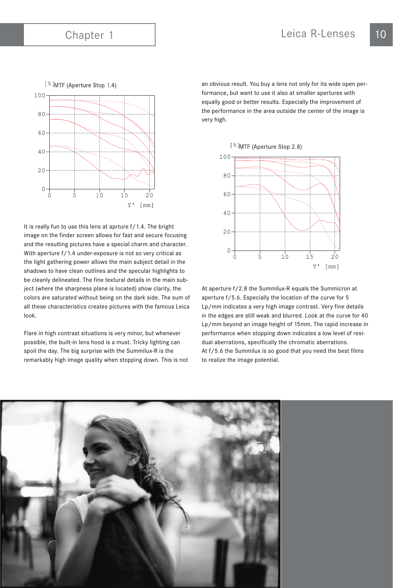

It is really fun to use this lens at aprture f/1.4. The bright image on the finder screen allows for fast and secure focusing and the resulting pictures have a special charm and character. With aperture f/1.4 under-exposure is not so very critical as the light gathering power allows the main subject detail in the shadows to have clean outlines and the specular highlights to be cleanly delineated. The fine textural details in the main subject (where the sharpness plane is located) show clarity, the colors are saturated without being on the dark side. The sum of all these characteristics creates pictures with the famous Leica look.

Flare in high contrast situations is very minor, but whenever possible, the built-in lens hood is a must. Tricky lighting can spoil the day. The big surprise with the Summilux-R is the remarkably high image quality when stopping down. This is not

an obvious result. You buy a lens not only for its wide open performance, but want to use it also at smaller apertures with equally good or better results. Especially the improvement of the performance in the area outside the center of the image is very high.

[%]MTF (Aperture Stop 2.8)



At aperture f/2.8 the Summilux-R equals the Summicron at aperture f/5.6. Especially the location of the curve for 5 Lp/mm indicates a very high image contrast. Very fine details in the edges are still weak and blurred. Look at the curve for 40 Lp/mm beyond an image height of 15mm. The rapid increase in performance when stopping down indicates a low level of residual aberrations, specifically the chromatic aberrations. At f/5.6 the Summilux is so good that you need the best films to realize the image potential.